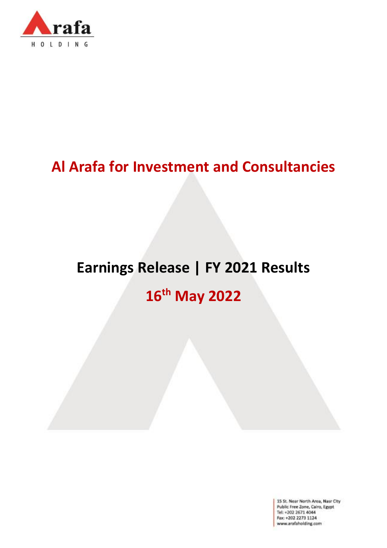

# **Al Arafa for Investment and Consultancies**

# **Earnings Release | FY 2021 Results**

# **16th May 2022**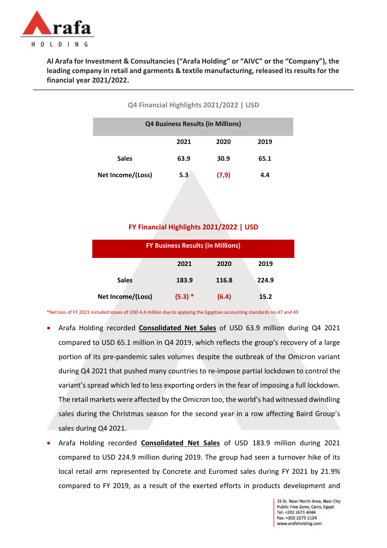

**Al Arafa for Investment & Consultancies ("Arafa Holding" or "AIVC" or the "Company"), the leading company in retail and garments & textile manufacturing, released its results for the financial year 2021/2022.**

#### **Q4 Financial Highlights 2021/2022 | USD**

| <b>Q4 Business Results (in Millions)</b> |      |       |      |  |
|------------------------------------------|------|-------|------|--|
|                                          | 2021 | 2020  | 2019 |  |
| <b>Sales</b>                             | 63.9 | 30.9  | 65.1 |  |
| Net Income/(Loss)                        | 5.3  | (7,9) | 4.4  |  |

#### **FY Financial Highlights 2021/2022 | USD**

| <b>FY Business Results (in Millions)</b> |           |       |       |  |
|------------------------------------------|-----------|-------|-------|--|
|                                          | 2021      | 2020  | 2019  |  |
| <b>Sales</b>                             | 183.9     | 116.8 | 224.9 |  |
| Net Income/(Loss)                        | $(5.3) *$ | (6.4) | 15.2  |  |

\*Net loss of FY 2021 included losses of USD 4.4 million due to applying the Egyptian accounting standards no.47 and 49

- Arafa Holding recorded **Consolidated Net Sales** of USD 63.9 million during Q4 2021 compared to USD 65.1 million in Q4 2019, which reflects the group's recovery of a large portion of its pre-pandemic sales volumes despite the outbreak of the Omicron variant during Q4 2021 that pushed many countries to re-impose partial lockdown to control the variant's spread which led to less exporting orders in the fear of imposing a full lockdown. The retail markets were affected by the Omicron too, the world's had witnessed dwindling sales during the Christmas season for the second year in a row affecting Baird Group's sales during Q4 2021.
- Arafa Holding recorded **Consolidated Net Sales** of USD 183.9 million during 2021 compared to USD 224.9 million during 2019. The group had seen a turnover hike of its local retail arm represented by Concrete and Euromed sales during FY 2021 by 21.9% compared to FY 2019, as a result of the exerted efforts in products development and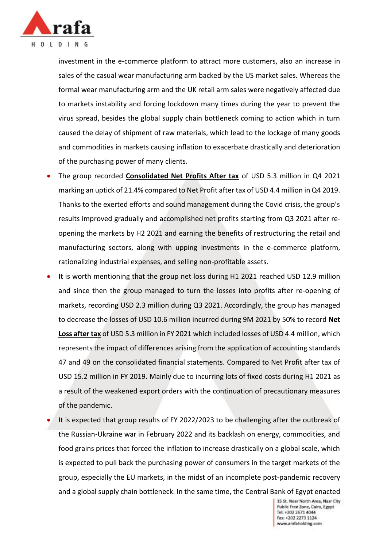

investment in the e-commerce platform to attract more customers, also an increase in sales of the casual wear manufacturing arm backed by the US market sales. Whereas the formal wear manufacturing arm and the UK retail arm sales were negatively affected due to markets instability and forcing lockdown many times during the year to prevent the virus spread, besides the global supply chain bottleneck coming to action which in turn caused the delay of shipment of raw materials, which lead to the lockage of many goods and commodities in markets causing inflation to exacerbate drastically and deterioration of the purchasing power of many clients.

- The group recorded **Consolidated Net Profits After tax** of USD 5.3 million in Q4 2021 marking an uptick of 21.4% compared to Net Profit after tax of USD 4.4 million in Q4 2019. Thanks to the exerted efforts and sound management during the Covid crisis, the group's results improved gradually and accomplished net profits starting from Q3 2021 after reopening the markets by H2 2021 and earning the benefits of restructuring the retail and manufacturing sectors, along with upping investments in the e-commerce platform, rationalizing industrial expenses, and selling non-profitable assets.
- It is worth mentioning that the group net loss during H1 2021 reached USD 12.9 million and since then the group managed to turn the losses into profits after re-opening of markets, recording USD 2.3 million during Q3 2021. Accordingly, the group has managed to decrease the losses of USD 10.6 million incurred during 9M 2021 by 50% to record **Net Loss after tax** of USD 5.3 million in FY 2021 which included losses of USD 4.4 million, which represents the impact of differences arising from the application of accounting standards 47 and 49 on the consolidated financial statements. Compared to Net Profit after tax of USD 15.2 million in FY 2019. Mainly due to incurring lots of fixed costs during H1 2021 as a result of the weakened export orders with the continuation of precautionary measures of the pandemic.
- It is expected that group results of FY 2022/2023 to be challenging after the outbreak of the Russian-Ukraine war in February 2022 and its backlash on energy, commodities, and food grains prices that forced the inflation to increase drastically on a global scale, which is expected to pull back the purchasing power of consumers in the target markets of the group, especially the EU markets, in the midst of an incomplete post-pandemic recovery and a global supply chain bottleneck. In the same time, the Central Bank of Egypt enacted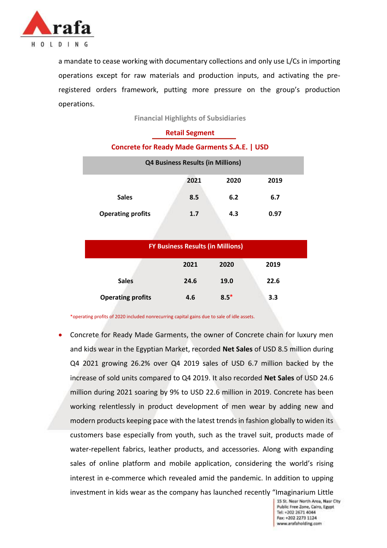

a mandate to cease working with documentary collections and only use L/Cs in importing operations except for raw materials and production inputs, and activating the preregistered orders framework, putting more pressure on the group's production operations.

**Financial Highlights of Subsidiaries**

| <b>Retail Segment</b>                                |     |     |      |  |  |
|------------------------------------------------------|-----|-----|------|--|--|
| <b>Concrete for Ready Made Garments S.A.E.   USD</b> |     |     |      |  |  |
| <b>Q4 Business Results (in Millions)</b>             |     |     |      |  |  |
| 2021<br>2020<br>2019                                 |     |     |      |  |  |
| <b>Sales</b>                                         | 8.5 | 6.2 | 6.7  |  |  |
| <b>Operating profits</b>                             | 1.7 | 4.3 | 0.97 |  |  |

| <b>FY Business Results (in Millions)</b> |      |        |      |  |  |
|------------------------------------------|------|--------|------|--|--|
|                                          | 2021 | 2020   | 2019 |  |  |
| <b>Sales</b>                             | 24.6 | 19.0   | 22.6 |  |  |
| <b>Operating profits</b>                 | 4.6  | $8.5*$ | 3.3  |  |  |

\*operating profits of 2020 included nonrecurring capital gains due to sale of idle assets.

 Concrete for Ready Made Garments, the owner of Concrete chain for luxury men and kids wear in the Egyptian Market, recorded **Net Sales** of USD 8.5 million during Q4 2021 growing 26.2% over Q4 2019 sales of USD 6.7 million backed by the increase of sold units compared to Q4 2019. It also recorded **Net Sales** of USD 24.6 million during 2021 soaring by 9% to USD 22.6 million in 2019. Concrete has been working relentlessly in product development of men wear by adding new and modern products keeping pace with the latest trends in fashion globally to widen its customers base especially from youth, such as the travel suit, products made of water-repellent fabrics, leather products, and accessories. Along with expanding sales of online platform and mobile application, considering the world's rising interest in e-commerce which revealed amid the pandemic. In addition to upping investment in kids wear as the company has launched recently "Imaginarium Little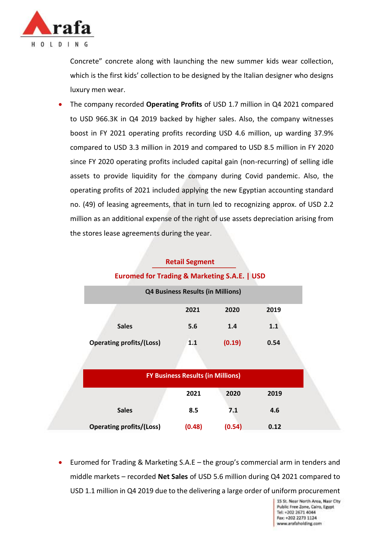

Concrete" concrete along with launching the new summer kids wear collection, which is the first kids' collection to be designed by the Italian designer who designs luxury men wear.

 The company recorded **Operating Profits** of USD 1.7 million in Q4 2021 compared to USD 966.3K in Q4 2019 backed by higher sales. Also, the company witnesses boost in FY 2021 operating profits recording USD 4.6 million, up warding 37.9% compared to USD 3.3 million in 2019 and compared to USD 8.5 million in FY 2020 since FY 2020 operating profits included capital gain (non-recurring) of selling idle assets to provide liquidity for the company during Covid pandemic. Also, the operating profits of 2021 included applying the new Egyptian accounting standard no. (49) of leasing agreements, that in turn led to recognizing approx. of USD 2.2 million as an additional expense of the right of use assets depreciation arising from the stores lease agreements during the year.

### **Retail Segment**

#### **Euromed for Trading & Marketing S.A.E. | USD**

|                                 | <b>Q4 Business Results (in Millions)</b> |        |      |  |
|---------------------------------|------------------------------------------|--------|------|--|
|                                 | 2021                                     | 2020   | 2019 |  |
| <b>Sales</b>                    | 5.6                                      | 1.4    | 1.1  |  |
| <b>Operating profits/(Loss)</b> | 1.1                                      | (0.19) | 0.54 |  |

|                                 | <b>FY Business Results (in Millions)</b> |        |      |
|---------------------------------|------------------------------------------|--------|------|
|                                 | 2021                                     | 2020   | 2019 |
| <b>Sales</b>                    | 8.5                                      | 7.1    | 4.6  |
| <b>Operating profits/(Loss)</b> | (0.48)                                   | (0.54) | 0.12 |

 Euromed for Trading & Marketing S.A.E – the group's commercial arm in tenders and middle markets – recorded **Net Sales** of USD 5.6 million during Q4 2021 compared to USD 1.1 million in Q4 2019 due to the delivering a large order of uniform procurement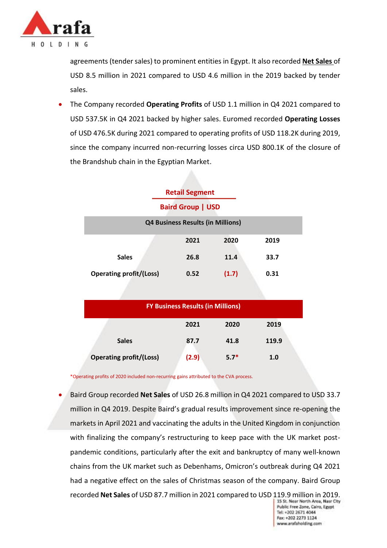

agreements (tender sales) to prominent entities in Egypt. It also recorded **Net Sales** of USD 8.5 million in 2021 compared to USD 4.6 million in the 2019 backed by tender sales.

 The Company recorded **Operating Profits** of USD 1.1 million in Q4 2021 compared to USD 537.5K in Q4 2021 backed by higher sales. Euromed recorded **Operating Losses** of USD 476.5K during 2021 compared to operating profits of USD 118.2K during 2019, since the company incurred non-recurring losses circa USD 800.1K of the closure of the Brandshub chain in the Egyptian Market.

| <b>Retail Segment</b>                    |      |       |      |  |  |  |  |
|------------------------------------------|------|-------|------|--|--|--|--|
| <b>Baird Group   USD</b>                 |      |       |      |  |  |  |  |
| <b>Q4 Business Results (in Millions)</b> |      |       |      |  |  |  |  |
|                                          | 2021 | 2020  | 2019 |  |  |  |  |
| <b>Sales</b>                             | 26.8 | 11.4  | 33.7 |  |  |  |  |
| <b>Operating profit/(Loss)</b>           | 0.52 | (1.7) | 0.31 |  |  |  |  |

|                                | <b>FY Business Results (in Millions)</b> |        |       |  |
|--------------------------------|------------------------------------------|--------|-------|--|
|                                | 2021                                     | 2020   | 2019  |  |
| <b>Sales</b>                   | 87.7                                     | 41.8   | 119.9 |  |
| <b>Operating profit/(Loss)</b> | (2.9)                                    | $5.7*$ | 1.0   |  |

\*Operating profits of 2020 included non-recurring gains attributed to the CVA process.

 Baird Group recorded **Net Sales** of USD 26.8 million in Q4 2021 compared to USD 33.7 million in Q4 2019. Despite Baird's gradual results improvement since re-opening the markets in April 2021 and vaccinating the adults in the United Kingdom in conjunction with finalizing the company's restructuring to keep pace with the UK market postpandemic conditions, particularly after the exit and bankruptcy of many well-known chains from the UK market such as Debenhams, Omicron's outbreak during Q4 2021 had a negative effect on the sales of Christmas season of the company. Baird Group recorded **Net Sales** of USD 87.7 million in 2021 compared to USD 119.9 million in 2019.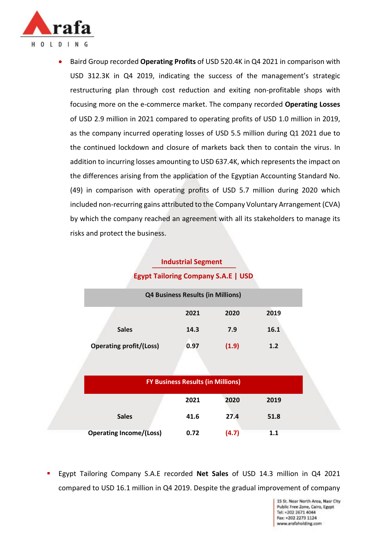

 Baird Group recorded **Operating Profits** of USD 520.4K in Q4 2021 in comparison with USD 312.3K in Q4 2019, indicating the success of the management's strategic restructuring plan through cost reduction and exiting non-profitable shops with focusing more on the e-commerce market. The company recorded **Operating Losses**  of USD 2.9 million in 2021 compared to operating profits of USD 1.0 million in 2019, as the company incurred operating losses of USD 5.5 million during Q1 2021 due to the continued lockdown and closure of markets back then to contain the virus. In addition to incurring losses amounting to USD 637.4K, which represents the impact on the differences arising from the application of the Egyptian Accounting Standard No. (49) in comparison with operating profits of USD 5.7 million during 2020 which included non-recurring gains attributed to the Company Voluntary Arrangement (CVA) by which the company reached an agreement with all its stakeholders to manage its risks and protect the business.

## **Industrial Segment Egypt Tailoring Company S.A.E | USD**

|                                | <b>Q4 Business Results (in Millions)</b> |       |      |
|--------------------------------|------------------------------------------|-------|------|
|                                | 2021                                     | 2020  | 2019 |
| <b>Sales</b>                   | 14.3                                     | 7.9   | 16.1 |
| <b>Operating profit/(Loss)</b> | 0.97                                     | (1.9) | 1.2  |

|                                | <b>FY Business Results (in Millions)</b> |       |      |
|--------------------------------|------------------------------------------|-------|------|
|                                | 2021                                     | 2020  | 2019 |
| <b>Sales</b>                   | 41.6                                     | 27.4  | 51.8 |
| <b>Operating Income/(Loss)</b> | 0.72                                     | (4.7) | 1.1  |

 Egypt Tailoring Company S.A.E recorded **Net Sales** of USD 14.3 million in Q4 2021 compared to USD 16.1 million in Q4 2019. Despite the gradual improvement of company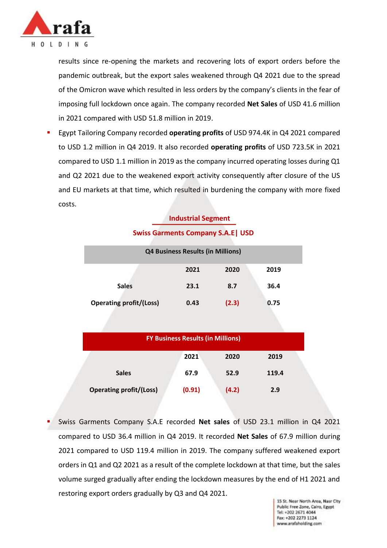

results since re-opening the markets and recovering lots of export orders before the pandemic outbreak, but the export sales weakened through Q4 2021 due to the spread of the Omicron wave which resulted in less orders by the company's clients in the fear of imposing full lockdown once again. The company recorded **Net Sales** of USD 41.6 million in 2021 compared with USD 51.8 million in 2019.

 Egypt Tailoring Company recorded **operating profits** of USD 974.4K in Q4 2021 compared to USD 1.2 million in Q4 2019. It also recorded **operating profits** of USD 723.5K in 2021 compared to USD 1.1 million in 2019 as the company incurred operating losses during Q1 and Q2 2021 due to the weakened export activity consequently after closure of the US and EU markets at that time, which resulted in burdening the company with more fixed costs.

#### **Industrial Segment**

| <b>Q4 Business Results (in Millions)</b> |      |       |      |  |  |
|------------------------------------------|------|-------|------|--|--|
|                                          | 2021 | 2020  | 2019 |  |  |
| <b>Sales</b>                             | 23.1 | 8.7   | 36.4 |  |  |
| <b>Operating profit/(Loss)</b>           | 0.43 | (2.3) | 0.75 |  |  |

#### **Swiss Garments Company S.A.E| USD**

| <b>FY Business Results (in Millions)</b> |        |       |       |  |  |
|------------------------------------------|--------|-------|-------|--|--|
|                                          | 2021   | 2020  | 2019  |  |  |
| <b>Sales</b>                             | 67.9   | 52.9  | 119.4 |  |  |
| <b>Operating profit/(Loss)</b>           | (0.91) | (4.2) | 2.9   |  |  |

 Swiss Garments Company S.A.E recorded **Net sales** of USD 23.1 million in Q4 2021 compared to USD 36.4 million in Q4 2019. It recorded **Net Sales** of 67.9 million during 2021 compared to USD 119.4 million in 2019. The company suffered weakened export orders in Q1 and Q2 2021 as a result of the complete lockdown at that time, but the sales volume surged gradually after ending the lockdown measures by the end of H1 2021 and restoring export orders gradually by Q3 and Q4 2021.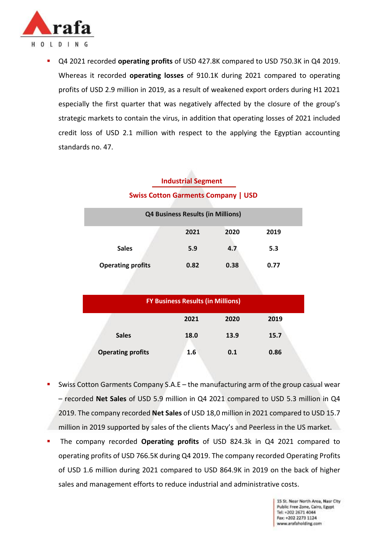

 Q4 2021 recorded **operating profits** of USD 427.8K compared to USD 750.3K in Q4 2019. Whereas it recorded **operating losses** of 910.1K during 2021 compared to operating profits of USD 2.9 million in 2019, as a result of weakened export orders during H1 2021 especially the first quarter that was negatively affected by the closure of the group's strategic markets to contain the virus, in addition that operating losses of 2021 included credit loss of USD 2.1 million with respect to the applying the Egyptian accounting standards no. 47.

## **Industrial Segment Swiss Cotton Garments Company | USD**

| <b>Q4 Business Results (in Millions)</b> |      |      |      |  |
|------------------------------------------|------|------|------|--|
|                                          | 2021 | 2020 | 2019 |  |
| <b>Sales</b>                             | 5.9  | 4.7  | 5.3  |  |
| <b>Operating profits</b>                 | 0.82 | 0.38 | 0.77 |  |

| <b>FY Business Results (in Millions)</b> |      |      |      |  |
|------------------------------------------|------|------|------|--|
|                                          | 2021 | 2020 | 2019 |  |
| <b>Sales</b>                             | 18.0 | 13.9 | 15.7 |  |
| <b>Operating profits</b>                 | 1.6  | 0.1  | 0.86 |  |

- Swiss Cotton Garments Company S.A.E the manufacturing arm of the group casual wear – recorded **Net Sales** of USD 5.9 million in Q4 2021 compared to USD 5.3 million in Q4 2019. The company recorded **Net Sales** of USD 18,0 million in 2021 compared to USD 15.7 million in 2019 supported by sales of the clients Macy's and Peerless in the US market.
- The company recorded **Operating profits** of USD 824.3k in Q4 2021 compared to operating profits of USD 766.5K during Q4 2019. The company recorded Operating Profits of USD 1.6 million during 2021 compared to USD 864.9K in 2019 on the back of higher sales and management efforts to reduce industrial and administrative costs.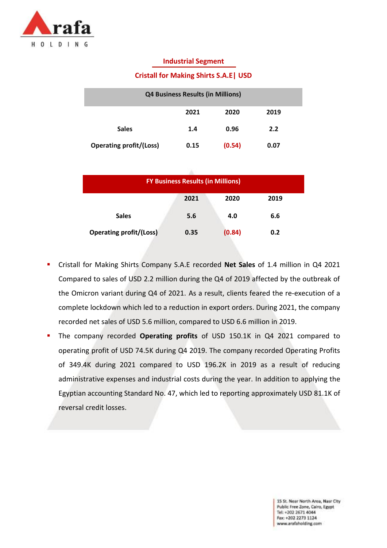

#### **Industrial Segment**

#### **Cristall for Making Shirts S.A.E| USD**

| <b>Q4 Business Results (in Millions)</b> |      |        |      |  |
|------------------------------------------|------|--------|------|--|
|                                          | 2021 | 2020   | 2019 |  |
| <b>Sales</b>                             | 1.4  | 0.96   | 2.2  |  |
| <b>Operating profit/(Loss)</b>           | 0.15 | (0.54) | 0.07 |  |

| <b>FY Business Results (in Millions)</b> |      |        |      |  |
|------------------------------------------|------|--------|------|--|
|                                          | 2021 | 2020   | 2019 |  |
| <b>Sales</b>                             | 5.6  | 4.0    | 6.6  |  |
| <b>Operating profit/(Loss)</b>           | 0.35 | (0.84) | 0.2  |  |

- Cristall for Making Shirts Company S.A.E recorded **Net Sales** of 1.4 million in Q4 2021 Compared to sales of USD 2.2 million during the Q4 of 2019 affected by the outbreak of the Omicron variant during Q4 of 2021. As a result, clients feared the re-execution of a complete lockdown which led to a reduction in export orders. During 2021, the company recorded net sales of USD 5.6 million, compared to USD 6.6 million in 2019.
- The company recorded **Operating profits** of USD 150.1K in Q4 2021 compared to operating profit of USD 74.5K during Q4 2019. The company recorded Operating Profits of 349.4K during 2021 compared to USD 196.2K in 2019 as a result of reducing administrative expenses and industrial costs during the year. In addition to applying the Egyptian accounting Standard No. 47, which led to reporting approximately USD 81.1K of reversal credit losses.